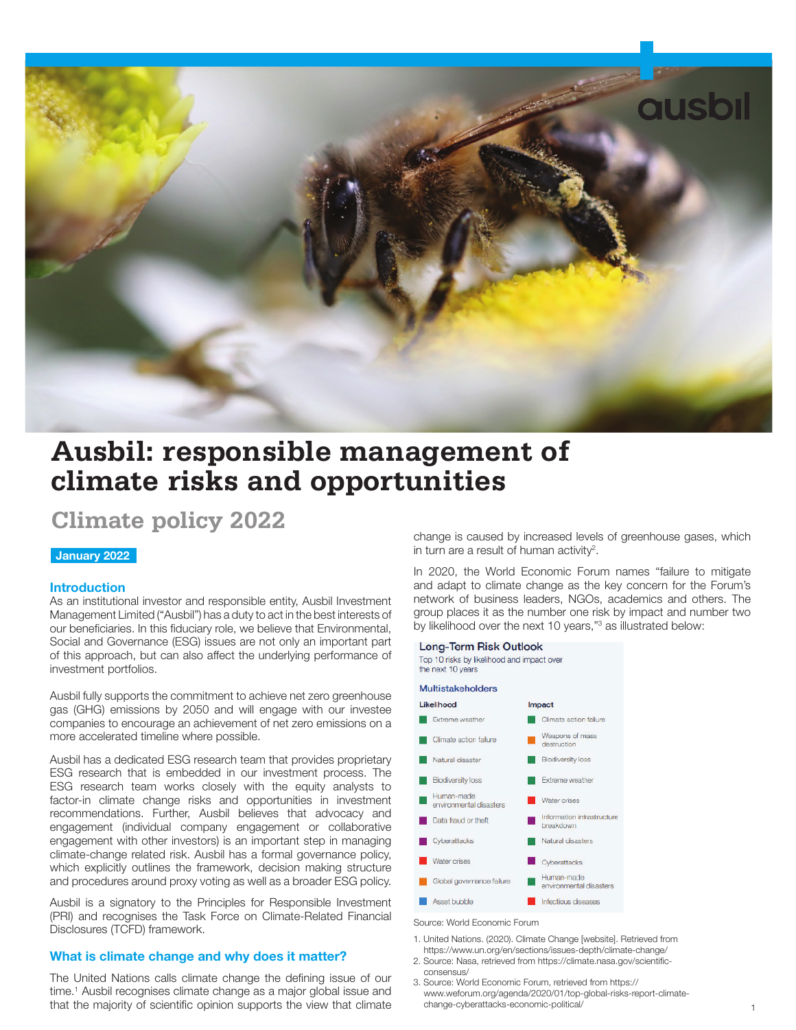

# **Ausbil: responsible management of climate risks and opportunities**

# **Climate policy 2022**

# January 2022

#### **Introduction**

As an institutional investor and responsible entity, Ausbil Investment Management Limited ("Ausbil") has a duty to act in the best interests of our beneficiaries. In this fiduciary role, we believe that Environmental, Social and Governance (ESG) issues are not only an important part of this approach, but can also affect the underlying performance of investment portfolios.

Ausbil fully supports the commitment to achieve net zero greenhouse gas (GHG) emissions by 2050 and will engage with our investee companies to encourage an achievement of net zero emissions on a more accelerated timeline where possible.

Ausbil has a dedicated ESG research team that provides proprietary ESG research that is embedded in our investment process. The ESG research team works closely with the equity analysts to factor-in climate change risks and opportunities in investment recommendations. Further, Ausbil believes that advocacy and engagement (individual company engagement or collaborative engagement with other investors) is an important step in managing climate-change related risk. Ausbil has a formal governance policy, which explicitly outlines the framework, decision making structure and procedures around proxy voting as well as a broader ESG policy.

Ausbil is a signatory to the Principles for Responsible Investment (PRI) and recognises the Task Force on Climate-Related Financial Disclosures (TCFD) framework.

#### What is climate change and why does it matter?

The United Nations calls climate change the defining issue of our time.<sup>1</sup> Ausbil recognises climate change as a major global issue and that the majority of scientific opinion supports the view that climate

change is caused by increased levels of greenhouse gases, which in turn are a result of human activity<sup>2</sup>.

In 2020, the World Economic Forum names "failure to mitigate and adapt to climate change as the key concern for the Forum's network of business leaders, NGOs, academics and others. The group places it as the number one risk by impact and number two by likelihood over the next 10 years,"<sup>3</sup> as illustrated below:

#### Long-Term Risk Outlook

Top 10 risks by likelihood and impact over the next 10 years

# Multistakeholders



Source: World Economic Forum

- 1. United Nations. (2020). Climate Change [website]. Retrieved from
- https://www.un.org/en/sections/issues-depth/climate-change/ 2. Source: Nasa, retrieved from https://climate.nasa.gov/scientificconsensus/
- 3. Source: World Economic Forum, retrieved from https:// www.weforum.org/agenda/2020/01/top-global-risks-report-climatechange-cyberattacks-economic-political/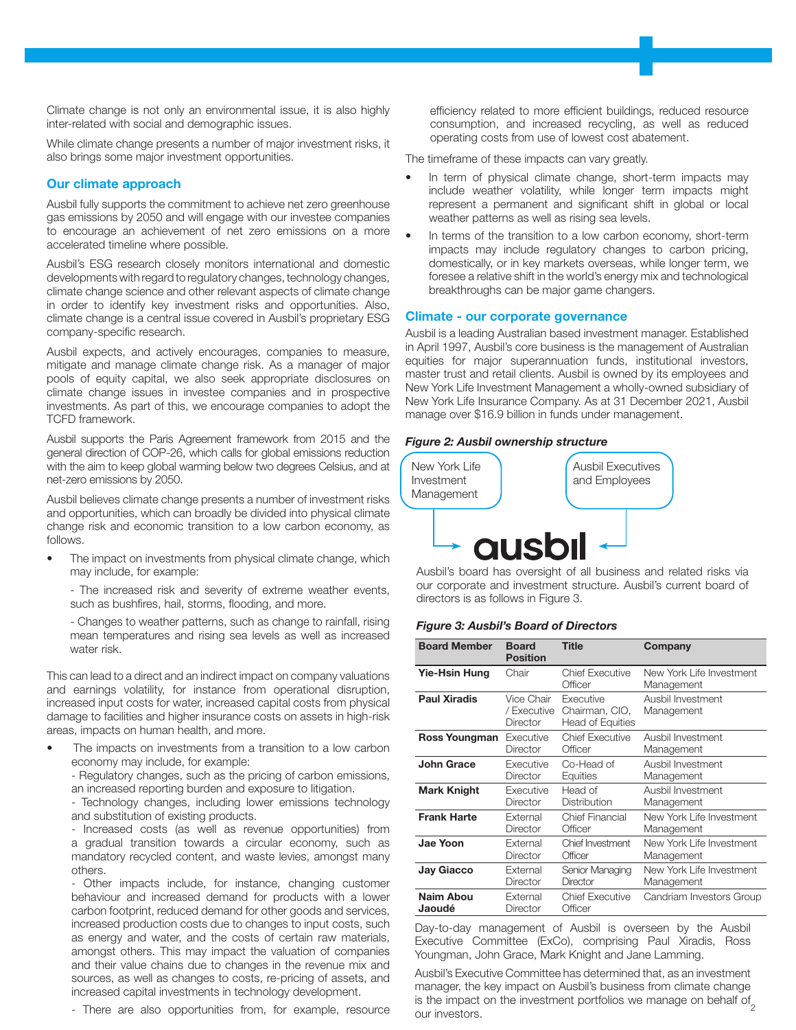Climate change is not only an environmental issue, it is also highly inter-related with social and demographic issues.

While climate change presents a number of major investment risks, it also brings some major investment opportunities.

#### Our climate approach

Ausbil fully supports the commitment to achieve net zero greenhouse gas emissions by 2050 and will engage with our investee companies to encourage an achievement of net zero emissions on a more accelerated timeline where possible.

Ausbil's ESG research closely monitors international and domestic developments with regard to regulatory changes, technology changes, climate change science and other relevant aspects of climate change in order to identify key investment risks and opportunities. Also, climate change is a central issue covered in Ausbil's proprietary ESG company-specific research.

Ausbil expects, and actively encourages, companies to measure, mitigate and manage climate change risk. As a manager of major pools of equity capital, we also seek appropriate disclosures on climate change issues in investee companies and in prospective investments. As part of this, we encourage companies to adopt the TCFD framework.

Ausbil supports the Paris Agreement framework from 2015 and the general direction of COP-26, which calls for global emissions reduction with the aim to keep global warming below two degrees Celsius, and at net-zero emissions by 2050.

Ausbil believes climate change presents a number of investment risks and opportunities, which can broadly be divided into physical climate change risk and economic transition to a low carbon economy, as follows.

The impact on investments from physical climate change, which may include, for example:

- The increased risk and severity of extreme weather events, such as bushfires, hail, storms, flooding, and more.

- Changes to weather patterns, such as change to rainfall, rising mean temperatures and rising sea levels as well as increased water risk.

This can lead to a direct and an indirect impact on company valuations and earnings volatility, for instance from operational disruption, increased input costs for water, increased capital costs from physical damage to facilities and higher insurance costs on assets in high-risk areas, impacts on human health, and more.

The impacts on investments from a transition to a low carbon economy may include, for example:

- Regulatory changes, such as the pricing of carbon emissions, an increased reporting burden and exposure to litigation.

- Technology changes, including lower emissions technology and substitution of existing products.

- Increased costs (as well as revenue opportunities) from a gradual transition towards a circular economy, such as mandatory recycled content, and waste levies, amongst many others.

- Other impacts include, for instance, changing customer behaviour and increased demand for products with a lower carbon footprint, reduced demand for other goods and services, increased production costs due to changes to input costs, such as energy and water, and the costs of certain raw materials, amongst others. This may impact the valuation of companies and their value chains due to changes in the revenue mix and sources, as well as changes to costs, re-pricing of assets, and increased capital investments in technology development.

- There are also opportunities from, for example, resource

efficiency related to more efficient buildings, reduced resource consumption, and increased recycling, as well as reduced operating costs from use of lowest cost abatement.

The timeframe of these impacts can vary greatly.

- In term of physical climate change, short-term impacts may include weather volatility, while longer term impacts might represent a permanent and significant shift in global or local weather patterns as well as rising sea levels.
- In terms of the transition to a low carbon economy, short-term impacts may include regulatory changes to carbon pricing, domestically, or in key markets overseas, while longer term, we foresee a relative shift in the world's energy mix and technological breakthroughs can be major game changers.

#### Climate - our corporate governance

Ausbil is a leading Australian based investment manager. Established in April 1997, Ausbil's core business is the management of Australian equities for major superannuation funds, institutional investors, master trust and retail clients. Ausbil is owned by its employees and New York Life Investment Management a wholly-owned subsidiary of New York Life Insurance Company. As at 31 December 2021, Ausbil manage over \$16.9 billion in funds under management.

#### *Figure 2: Ausbil ownership structure*



Ausbil's board has oversight of all business and related risks via our corporate and investment structure. Ausbil's current board of directors is as follows in Figure 3.

#### *Figure 3: Ausbil's Board of Directors*

| <b>Board Member</b> | <b>Board</b><br><b>Position</b>       | <b>Title</b>                                           | Company                                |
|---------------------|---------------------------------------|--------------------------------------------------------|----------------------------------------|
| Yie-Hsin Hung       | Chair                                 | Chief Executive<br>Officer                             | New York Life Investment<br>Management |
| <b>Paul Xiradis</b> | Vice Chair<br>/ Executive<br>Director | Executive<br>Chairman, CIO,<br><b>Head of Equities</b> | Ausbil Investment<br>Management        |
| Ross Youngman       | Executive                             | <b>Chief Executive</b>                                 | Ausbil Investment                      |
|                     | Director                              | Officer                                                | Management                             |
| <b>John Grace</b>   | Executive                             | Co-Head of                                             | Ausbil Investment                      |
|                     | Director                              | Equities                                               | Management                             |
| <b>Mark Knight</b>  | Executive                             | Head of                                                | Ausbil Investment                      |
|                     | Director                              | Distribution                                           | Management                             |
| <b>Frank Harte</b>  | External                              | <b>Chief Financial</b>                                 | New York Life Investment               |
|                     | Director                              | Officer                                                | Management                             |
| Jae Yoon            | External                              | Chief Investment                                       | New York Life Investment               |
|                     | <b>Director</b>                       | Officer                                                | Management                             |
| <b>Jay Giacco</b>   | External                              | Senior Managing                                        | New York Life Investment               |
|                     | Director                              | Director                                               | Management                             |
| Naim Abou           | External                              | Chief Executive                                        | Candriam Investors Group               |
| Jaoudé              | Director                              | Officer                                                |                                        |

Day-to-day management of Ausbil is overseen by the Ausbil Executive Committee (ExCo), comprising Paul Xiradis, Ross Youngman, John Grace, Mark Knight and Jane Lamming.

is the impact on the investment portfolios we manage on behalf of  $\frac{2}{2}$ Ausbil's Executive Committee has determined that, as an investment manager, the key impact on Ausbil's business from climate change our investors.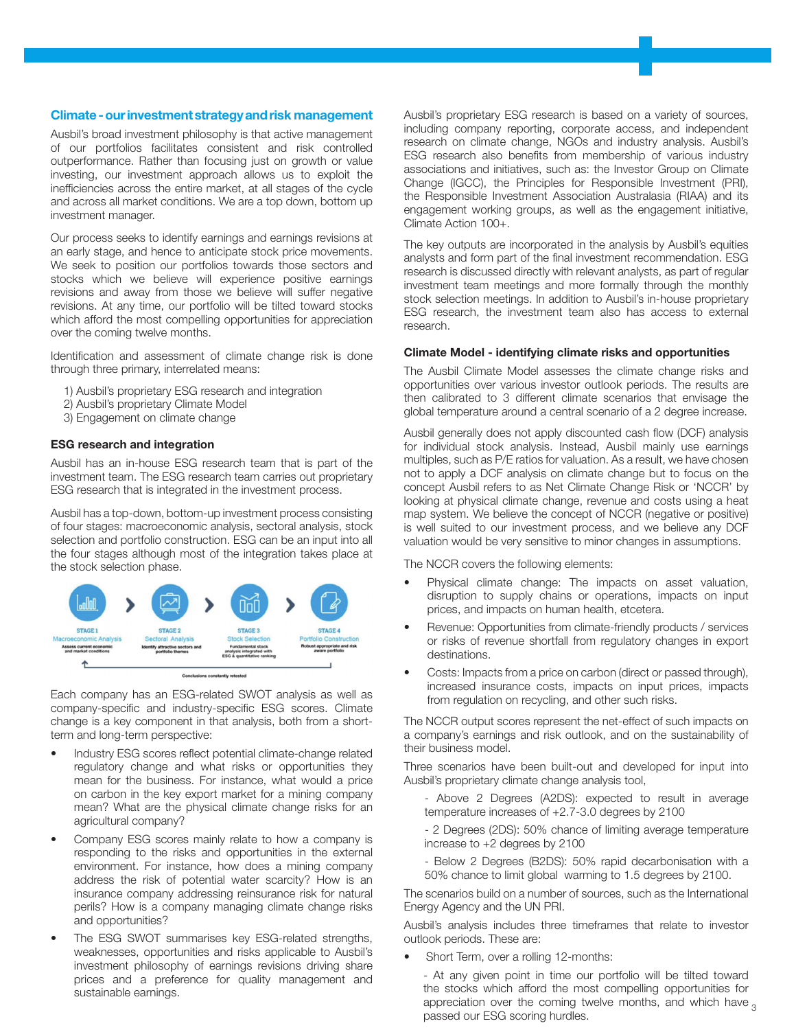#### Climate - our investment strategy and risk management

Ausbil's broad investment philosophy is that active management of our portfolios facilitates consistent and risk controlled outperformance. Rather than focusing just on growth or value investing, our investment approach allows us to exploit the inefficiencies across the entire market, at all stages of the cycle and across all market conditions. We are a top down, bottom up investment manager.

Our process seeks to identify earnings and earnings revisions at an early stage, and hence to anticipate stock price movements. We seek to position our portfolios towards those sectors and stocks which we believe will experience positive earnings revisions and away from those we believe will suffer negative revisions. At any time, our portfolio will be tilted toward stocks which afford the most compelling opportunities for appreciation over the coming twelve months.

Identification and assessment of climate change risk is done through three primary, interrelated means:

- 1) Ausbil's proprietary ESG research and integration
- 2) Ausbil's proprietary Climate Model
- 3) Engagement on climate change

#### ESG research and integration

Ausbil has an in-house ESG research team that is part of the investment team. The ESG research team carries out proprietary ESG research that is integrated in the investment process.

Ausbil has a top-down, bottom-up investment process consisting of four stages: macroeconomic analysis, sectoral analysis, stock selection and portfolio construction. ESG can be an input into all the four stages although most of the integration takes place at the stock selection phase.



Each company has an ESG-related SWOT analysis as well as company-specific and industry-specific ESG scores. Climate change is a key component in that analysis, both from a shortterm and long-term perspective:

- Industry ESG scores reflect potential climate-change related regulatory change and what risks or opportunities they mean for the business. For instance, what would a price on carbon in the key export market for a mining company mean? What are the physical climate change risks for an agricultural company?
- Company ESG scores mainly relate to how a company is responding to the risks and opportunities in the external environment. For instance, how does a mining company address the risk of potential water scarcity? How is an insurance company addressing reinsurance risk for natural perils? How is a company managing climate change risks and opportunities?
- The ESG SWOT summarises key ESG-related strengths, weaknesses, opportunities and risks applicable to Ausbil's investment philosophy of earnings revisions driving share prices and a preference for quality management and sustainable earnings.

Ausbil's proprietary ESG research is based on a variety of sources, including company reporting, corporate access, and independent research on climate change, NGOs and industry analysis. Ausbil's ESG research also benefits from membership of various industry associations and initiatives, such as: the Investor Group on Climate Change (IGCC), the Principles for Responsible Investment (PRI), the Responsible Investment Association Australasia (RIAA) and its engagement working groups, as well as the engagement initiative, Climate Action 100+.

The key outputs are incorporated in the analysis by Ausbil's equities analysts and form part of the final investment recommendation. ESG research is discussed directly with relevant analysts, as part of regular investment team meetings and more formally through the monthly stock selection meetings. In addition to Ausbil's in-house proprietary ESG research, the investment team also has access to external research.

#### Climate Model - identifying climate risks and opportunities

The Ausbil Climate Model assesses the climate change risks and opportunities over various investor outlook periods. The results are then calibrated to 3 different climate scenarios that envisage the global temperature around a central scenario of a 2 degree increase.

Ausbil generally does not apply discounted cash flow (DCF) analysis for individual stock analysis. Instead, Ausbil mainly use earnings multiples, such as P/E ratios for valuation. As a result, we have chosen not to apply a DCF analysis on climate change but to focus on the concept Ausbil refers to as Net Climate Change Risk or 'NCCR' by looking at physical climate change, revenue and costs using a heat map system. We believe the concept of NCCR (negative or positive) is well suited to our investment process, and we believe any DCF valuation would be very sensitive to minor changes in assumptions.

The NCCR covers the following elements:

- Physical climate change: The impacts on asset valuation, disruption to supply chains or operations, impacts on input prices, and impacts on human health, etcetera.
- Revenue: Opportunities from climate-friendly products / services or risks of revenue shortfall from regulatory changes in export destinations.
- Costs: Impacts from a price on carbon (direct or passed through), increased insurance costs, impacts on input prices, impacts from regulation on recycling, and other such risks.

The NCCR output scores represent the net-effect of such impacts on a company's earnings and risk outlook, and on the sustainability of their business model.

Three scenarios have been built-out and developed for input into Ausbil's proprietary climate change analysis tool,

- Above 2 Degrees (A2DS): expected to result in average temperature increases of +2.7-3.0 degrees by 2100

- 2 Degrees (2DS): 50% chance of limiting average temperature increase to +2 degrees by 2100

- Below 2 Degrees (B2DS): 50% rapid decarbonisation with a 50% chance to limit global warming to 1.5 degrees by 2100.

The scenarios build on a number of sources, such as the International Energy Agency and the UN PRI.

Ausbil's analysis includes three timeframes that relate to investor outlook periods. These are:

• Short Term, over a rolling 12-months:

- At any given point in time our portfolio will be tilted toward the stocks which afford the most compelling opportunities for appreciation over the coming twelve months, and which have  $\alpha$ passed our ESG scoring hurdles.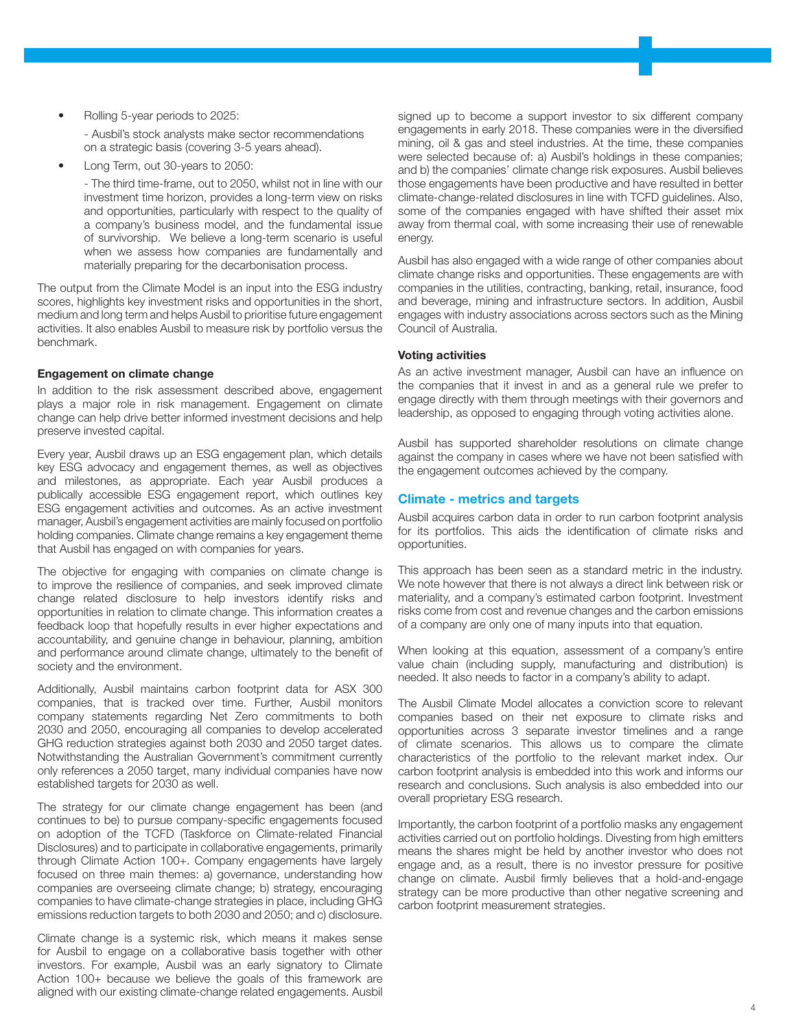• Rolling 5-year periods to 2025:

- Ausbil's stock analysts make sector recommendations on a strategic basis (covering 3-5 years ahead).

• Long Term, out 30-years to 2050:

- The third time-frame, out to 2050, whilst not in line with our investment time horizon, provides a long-term view on risks and opportunities, particularly with respect to the quality of a company's business model, and the fundamental issue of survivorship. We believe a long-term scenario is useful when we assess how companies are fundamentally and materially preparing for the decarbonisation process.

The output from the Climate Model is an input into the ESG industry scores, highlights key investment risks and opportunities in the short, medium and long term and helps Ausbil to prioritise future engagement activities. It also enables Ausbil to measure risk by portfolio versus the benchmark.

## Engagement on climate change

In addition to the risk assessment described above, engagement plays a major role in risk management. Engagement on climate change can help drive better informed investment decisions and help preserve invested capital.

Every year, Ausbil draws up an ESG engagement plan, which details key ESG advocacy and engagement themes, as well as objectives and milestones, as appropriate. Each year Ausbil produces a publically accessible ESG engagement report, which outlines key ESG engagement activities and outcomes. As an active investment manager, Ausbil's engagement activities are mainly focused on portfolio holding companies. Climate change remains a key engagement theme that Ausbil has engaged on with companies for years.

The objective for engaging with companies on climate change is to improve the resilience of companies, and seek improved climate change related disclosure to help investors identify risks and opportunities in relation to climate change. This information creates a feedback loop that hopefully results in ever higher expectations and accountability, and genuine change in behaviour, planning, ambition and performance around climate change, ultimately to the benefit of society and the environment.

Additionally, Ausbil maintains carbon footprint data for ASX 300 companies, that is tracked over time. Further, Ausbil monitors company statements regarding Net Zero commitments to both 2030 and 2050, encouraging all companies to develop accelerated GHG reduction strategies against both 2030 and 2050 target dates. Notwithstanding the Australian Government's commitment currently only references a 2050 target, many individual companies have now established targets for 2030 as well.

The strategy for our climate change engagement has been (and continues to be) to pursue company-specific engagements focused on adoption of the TCFD (Taskforce on Climate-related Financial Disclosures) and to participate in collaborative engagements, primarily through Climate Action 100+. Company engagements have largely focused on three main themes: a) governance, understanding how companies are overseeing climate change; b) strategy, encouraging companies to have climate-change strategies in place, including GHG emissions reduction targets to both 2030 and 2050; and c) disclosure.

Climate change is a systemic risk, which means it makes sense for Ausbil to engage on a collaborative basis together with other investors. For example, Ausbil was an early signatory to Climate Action 100+ because we believe the goals of this framework are aligned with our existing climate-change related engagements. Ausbil

signed up to become a support investor to six different company engagements in early 2018. These companies were in the diversified mining, oil & gas and steel industries. At the time, these companies were selected because of: a) Ausbil's holdings in these companies; and b) the companies' climate change risk exposures. Ausbil believes those engagements have been productive and have resulted in better climate-change-related disclosures in line with TCFD guidelines. Also, some of the companies engaged with have shifted their asset mix away from thermal coal, with some increasing their use of renewable energy.

Ausbil has also engaged with a wide range of other companies about climate change risks and opportunities. These engagements are with companies in the utilities, contracting, banking, retail, insurance, food and beverage, mining and infrastructure sectors. In addition, Ausbil engages with industry associations across sectors such as the Mining Council of Australia.

#### Voting activities

As an active investment manager, Ausbil can have an influence on the companies that it invest in and as a general rule we prefer to engage directly with them through meetings with their governors and leadership, as opposed to engaging through voting activities alone.

Ausbil has supported shareholder resolutions on climate change against the company in cases where we have not been satisfied with the engagement outcomes achieved by the company.

## Climate - metrics and targets

Ausbil acquires carbon data in order to run carbon footprint analysis for its portfolios. This aids the identification of climate risks and opportunities.

This approach has been seen as a standard metric in the industry. We note however that there is not always a direct link between risk or materiality, and a company's estimated carbon footprint. Investment risks come from cost and revenue changes and the carbon emissions of a company are only one of many inputs into that equation.

When looking at this equation, assessment of a company's entire value chain (including supply, manufacturing and distribution) is needed. It also needs to factor in a company's ability to adapt.

The Ausbil Climate Model allocates a conviction score to relevant companies based on their net exposure to climate risks and opportunities across 3 separate investor timelines and a range of climate scenarios. This allows us to compare the climate characteristics of the portfolio to the relevant market index. Our carbon footprint analysis is embedded into this work and informs our research and conclusions. Such analysis is also embedded into our overall proprietary ESG research.

Importantly, the carbon footprint of a portfolio masks any engagement activities carried out on portfolio holdings. Divesting from high emitters means the shares might be held by another investor who does not engage and, as a result, there is no investor pressure for positive change on climate. Ausbil firmly believes that a hold-and-engage strategy can be more productive than other negative screening and carbon footprint measurement strategies.